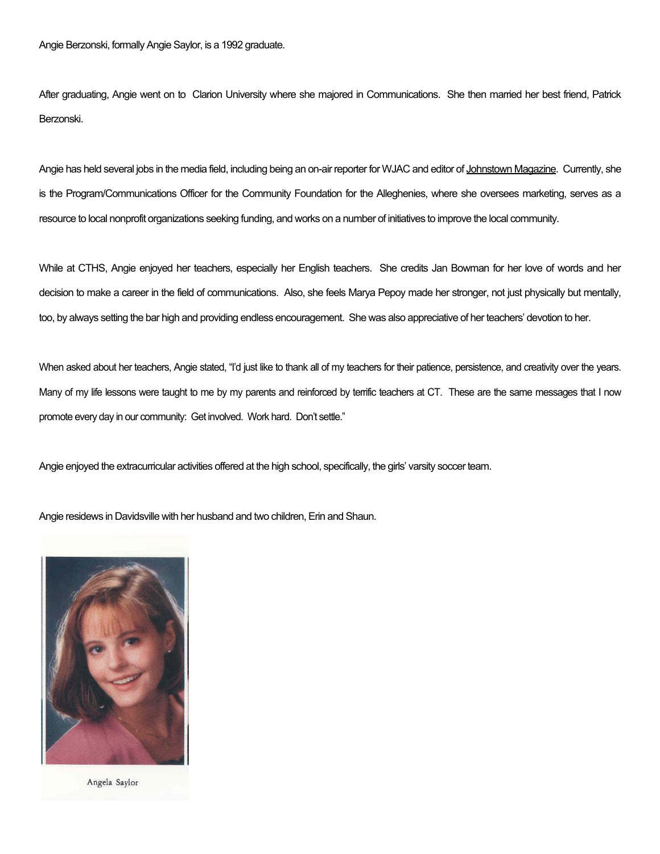Angie Berzonski, formally Angie Saylor, is a 1992 graduate.

After graduating, Angie went on to Clarion University where she majored in Communications. She then married her best friend, Patrick Berzonski.

Angie has held several jobs in the media field, including being an on-air reporter for WJAC and editor of Johnstown Magazine. Currently, she is the Program/Communications Officer for the Community Foundation for the Alleghenies, where she oversees marketing, serves as a resource to local nonprofit organizations seeking funding, and works on a number of initiatives to improve the local community.

While at CTHS, Angie enjoyed her teachers, especially her English teachers. She credits Jan Bowman for her love of words and her decision to make a career in the field of communications. Also, she feels Marya Pepoy made her stronger, not just physically but mentally, too, by always setting the bar high and providing endless encouragement. She was also appreciative of her teachers' devotion to her.

When asked about her teachers, Angie stated, "I'd just like to thank all of my teachers for their patience, persistence, and creativity over the years. Many of my life lessons were taught to me by my parents and reinforced by terrific teachers at CT. These are the same messages that I now promote every day in our community: Get involved. Work hard. Don't settle."

Angie enjoyed the extracurricular activities offered at the high school, specifically, the girls' varsity soccer team.

Angie residews in Davidsville with her husband and two children, Erin and Shaun.



Angela Saylor